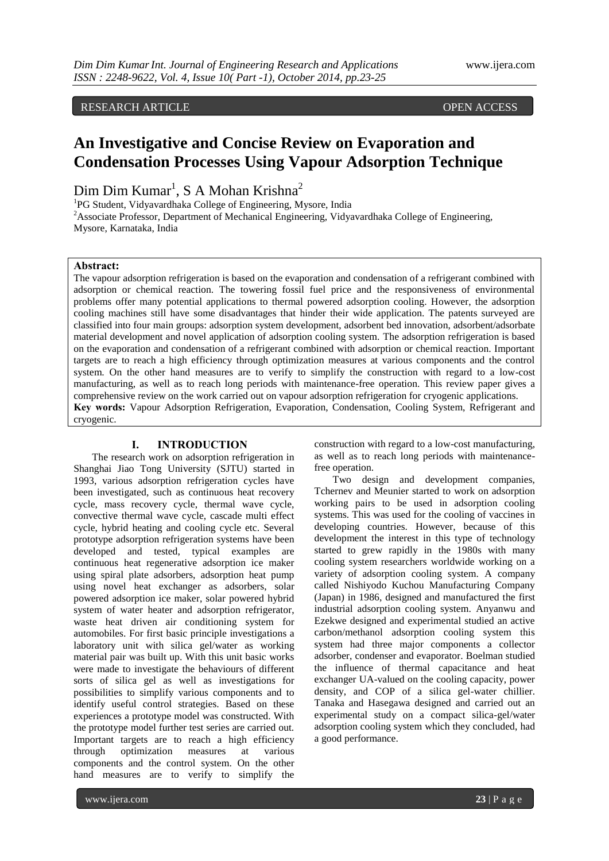## RESEARCH ARTICLE OPEN ACCESS

# **An Investigative and Concise Review on Evaporation and Condensation Processes Using Vapour Adsorption Technique**

Dim Dim Kumar<sup>1</sup>, S A Mohan Krishna<sup>2</sup>

<sup>1</sup>PG Student, Vidyavardhaka College of Engineering, Mysore, India

<sup>2</sup> Associate Professor, Department of Mechanical Engineering, Vidyavardhaka College of Engineering, Mysore, Karnataka, India

#### **Abstract:**

The vapour adsorption refrigeration is based on the evaporation and condensation of a refrigerant combined with adsorption or chemical reaction. The towering fossil fuel price and the responsiveness of environmental problems offer many potential applications to thermal powered adsorption cooling. However, the adsorption cooling machines still have some disadvantages that hinder their wide application. The patents surveyed are classified into four main groups: adsorption system development, adsorbent bed innovation, adsorbent/adsorbate material development and novel application of adsorption cooling system. The adsorption refrigeration is based on the evaporation and condensation of a refrigerant combined with adsorption or chemical reaction. Important targets are to reach a high efficiency through optimization measures at various components and the control system. On the other hand measures are to verify to simplify the construction with regard to a low-cost manufacturing, as well as to reach long periods with maintenance-free operation. This review paper gives a comprehensive review on the work carried out on vapour adsorption refrigeration for cryogenic applications. **Key words:** Vapour Adsorption Refrigeration, Evaporation, Condensation, Cooling System, Refrigerant and cryogenic.

### **I. INTRODUCTION**

The research work on adsorption refrigeration in Shanghai Jiao Tong University (SJTU) started in 1993, various adsorption refrigeration cycles have been investigated, such as continuous heat recovery cycle, mass recovery cycle, thermal wave cycle, convective thermal wave cycle, cascade multi effect cycle, hybrid heating and cooling cycle etc. Several prototype adsorption refrigeration systems have been developed and tested, typical examples are continuous heat regenerative adsorption ice maker using spiral plate adsorbers, adsorption heat pump using novel heat exchanger as adsorbers, solar powered adsorption ice maker, solar powered hybrid system of water heater and adsorption refrigerator, waste heat driven air conditioning system for automobiles. For first basic principle investigations a laboratory unit with silica gel/water as working material pair was built up. With this unit basic works were made to investigate the behaviours of different sorts of silica gel as well as investigations for possibilities to simplify various components and to identify useful control strategies. Based on these experiences a prototype model was constructed. With the prototype model further test series are carried out. Important targets are to reach a high efficiency through optimization measures at various components and the control system. On the other hand measures are to verify to simplify the

construction with regard to a low-cost manufacturing, as well as to reach long periods with maintenancefree operation.

Two design and development companies, Tchernev and Meunier started to work on adsorption working pairs to be used in adsorption cooling systems. This was used for the cooling of vaccines in developing countries. However, because of this development the interest in this type of technology started to grew rapidly in the 1980s with many cooling system researchers worldwide working on a variety of adsorption cooling system. A company called Nishiyodo Kuchou Manufacturing Company (Japan) in 1986, designed and manufactured the first industrial adsorption cooling system. Anyanwu and Ezekwe designed and experimental studied an active carbon/methanol adsorption cooling system this system had three major components a collector adsorber, condenser and evaporator. Boelman studied the influence of thermal capacitance and heat exchanger UA-valued on the cooling capacity, power density, and COP of a silica gel-water chillier. Tanaka and Hasegawa designed and carried out an experimental study on a compact silica-gel/water adsorption cooling system which they concluded, had a good performance.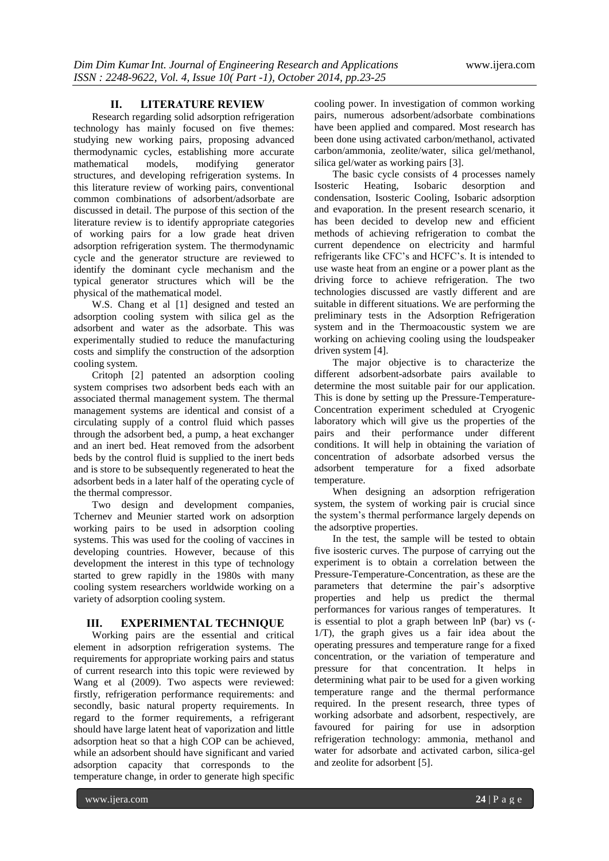#### **II. LITERATURE REVIEW**

Research regarding solid adsorption refrigeration technology has mainly focused on five themes: studying new working pairs, proposing advanced thermodynamic cycles, establishing more accurate mathematical models, modifying generator structures, and developing refrigeration systems. In this literature review of working pairs, conventional common combinations of adsorbent/adsorbate are discussed in detail. The purpose of this section of the literature review is to identify appropriate categories of working pairs for a low grade heat driven adsorption refrigeration system. The thermodynamic cycle and the generator structure are reviewed to identify the dominant cycle mechanism and the typical generator structures which will be the physical of the mathematical model.

W.S. Chang et al [1] designed and tested an adsorption cooling system with silica gel as the adsorbent and water as the adsorbate. This was experimentally studied to reduce the manufacturing costs and simplify the construction of the adsorption cooling system.

Critoph [2] patented an adsorption cooling system comprises two adsorbent beds each with an associated thermal management system. The thermal management systems are identical and consist of a circulating supply of a control fluid which passes through the adsorbent bed, a pump, a heat exchanger and an inert bed. Heat removed from the adsorbent beds by the control fluid is supplied to the inert beds and is store to be subsequently regenerated to heat the adsorbent beds in a later half of the operating cycle of the thermal compressor.

Two design and development companies, Tchernev and Meunier started work on adsorption working pairs to be used in adsorption cooling systems. This was used for the cooling of vaccines in developing countries. However, because of this development the interest in this type of technology started to grew rapidly in the 1980s with many cooling system researchers worldwide working on a variety of adsorption cooling system.

### **III. EXPERIMENTAL TECHNIQUE**

Working pairs are the essential and critical element in adsorption refrigeration systems. The requirements for appropriate working pairs and status of current research into this topic were reviewed by Wang et al (2009). Two aspects were reviewed: firstly, refrigeration performance requirements: and secondly, basic natural property requirements. In regard to the former requirements, a refrigerant should have large latent heat of vaporization and little adsorption heat so that a high COP can be achieved, while an adsorbent should have significant and varied adsorption capacity that corresponds to the temperature change, in order to generate high specific

cooling power. In investigation of common working pairs, numerous adsorbent/adsorbate combinations have been applied and compared. Most research has been done using activated carbon/methanol, activated carbon/ammonia, zeolite/water, silica gel/methanol, silica gel/water as working pairs [3].

The basic cycle consists of 4 processes namely Isosteric Heating, Isobaric desorption and condensation, Isosteric Cooling, Isobaric adsorption and evaporation. In the present research scenario, it has been decided to develop new and efficient methods of achieving refrigeration to combat the current dependence on electricity and harmful refrigerants like CFC's and HCFC's. It is intended to use waste heat from an engine or a power plant as the driving force to achieve refrigeration. The two technologies discussed are vastly different and are suitable in different situations. We are performing the preliminary tests in the Adsorption Refrigeration system and in the Thermoacoustic system we are working on achieving cooling using the loudspeaker driven system [4].

The major objective is to characterize the different adsorbent-adsorbate pairs available to determine the most suitable pair for our application. This is done by setting up the Pressure-Temperature-Concentration experiment scheduled at Cryogenic laboratory which will give us the properties of the pairs and their performance under different conditions. It will help in obtaining the variation of concentration of adsorbate adsorbed versus the adsorbent temperature for a fixed adsorbate temperature.

When designing an adsorption refrigeration system, the system of working pair is crucial since the system's thermal performance largely depends on the adsorptive properties.

In the test, the sample will be tested to obtain five isosteric curves. The purpose of carrying out the experiment is to obtain a correlation between the Pressure-Temperature-Concentration, as these are the parameters that determine the pair's adsorptive properties and help us predict the thermal performances for various ranges of temperatures. It is essential to plot a graph between  $\ln P$  (bar) vs  $\left(-\right)$ 1/T), the graph gives us a fair idea about the operating pressures and temperature range for a fixed concentration, or the variation of temperature and pressure for that concentration. It helps in determining what pair to be used for a given working temperature range and the thermal performance required. In the present research, three types of working adsorbate and adsorbent, respectively, are favoured for pairing for use in adsorption refrigeration technology: ammonia, methanol and water for adsorbate and activated carbon, silica-gel and zeolite for adsorbent [5].